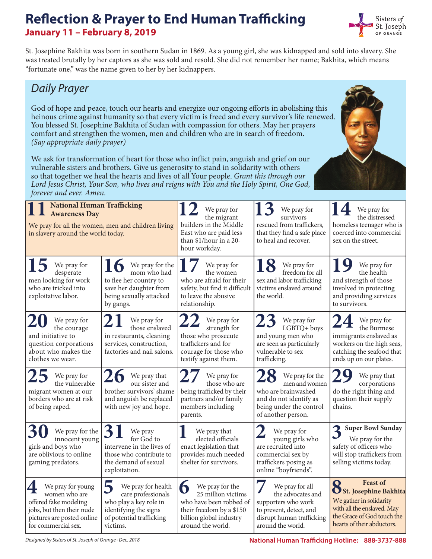#### **Reflection & Prayer to End Human Trafficking January 11 – February 8, 2019**



St. Josephine Bakhita was born in southern Sudan in 1869. As a young girl, she was kidnapped and sold into slavery. She was treated brutally by her captors as she was sold and resold. She did not remember her name; Bakhita, which means "fortunate one," was the name given to her by her kidnappers.

#### *Daily Prayer*

God of hope and peace, touch our hearts and energize our ongoing efforts in abolishing this heinous crime against humanity so that every victim is freed and every survivor's life renewed. You blessed St. Josephine Bakhita of Sudan with compassion for others. May her prayers comfort and strengthen the women, men and children who are in search of freedom. *(Say appropriate daily prayer)*

We ask for transformation of heart for those who inflict pain, anguish and grief on our vulnerable sisters and brothers. Give us generosity to stand in solidarity with others so that together we heal the hearts and lives of all Your people. *Grant this through our Lord Jesus Christ, Your Son, who lives and reigns with You and the Holy Spirit, One God, forever and ever. Amen.*

| <b>National Human Trafficking</b><br><b>Awareness Day</b><br>We pray for all the women, men and children living<br>in slavery around the world today. |                                                                                                                                                    | We pray for<br>the migrant<br>builders in the Middle<br>East who are paid less<br>than \$1/hour in a 20-<br>hour workday.                         | We pray for<br>survivors<br>rescued from traffickers,<br>that they find a safe place<br>to heal and recover.                             | We pray for<br>the distressed<br>homeless teenager who is<br>coerced into commercial<br>sex on the street.                                                                  |
|-------------------------------------------------------------------------------------------------------------------------------------------------------|----------------------------------------------------------------------------------------------------------------------------------------------------|---------------------------------------------------------------------------------------------------------------------------------------------------|------------------------------------------------------------------------------------------------------------------------------------------|-----------------------------------------------------------------------------------------------------------------------------------------------------------------------------|
| We pray for<br>desperate<br>men looking for work<br>who are tricked into<br>exploitative labor.                                                       | We pray for the<br>mom who had<br>to flee her country to<br>save her daughter from<br>being sexually attacked<br>by gangs.                         | We pray for<br>the women<br>who are afraid for their<br>safety, but find it difficult<br>to leave the abusive<br>relationship.                    | We pray for<br>freedom for all<br>sex and labor trafficking<br>victims enslaved around<br>the world.                                     | We pray for<br>the health<br>and strength of those<br>involved in protecting<br>and providing services<br>to survivors.                                                     |
| We pray for<br>the courage<br>and initiative to<br>question corporations<br>about who makes the<br>clothes we wear.                                   | We pray for<br>those enslaved<br>in restaurants, cleaning<br>services, construction,<br>factories and nail salons.                                 | We pray for<br>strength for<br>those who prosecute<br>traffickers and for<br>courage for those who<br>testify against them.                       | We pray for<br>LGBTQ+ boys<br>and young men who<br>are seen as particularly<br>vulnerable to sex<br>trafficking.                         | We pray for<br>the Burmese<br>immigrants enslaved as<br>workers on the high seas,<br>catching the seafood that<br>ends up on our plates.                                    |
| We pray for<br>the vulnerable<br>migrant women at our<br>borders who are at risk<br>of being raped.                                                   | We pray that<br>our sister and<br>brother survivors' shame<br>and anguish be replaced<br>with new joy and hope.                                    | We pray for<br>those who are<br>being trafficked by their<br>partners and/or family<br>members including<br>parents.                              | We pray for the<br>men and women<br>who are brainwashed<br>and do not identify as<br>being under the control<br>of another person.       | We pray that<br>corporations<br>do the right thing and<br>question their supply<br>chains.                                                                                  |
| We pray for the<br>innocent young<br>girls and boys who<br>are oblivious to online<br>gaming predators.                                               | 3<br>We pray<br>for God to<br>intervene in the lives of<br>those who contribute to<br>the demand of sexual<br>exploitation.                        | We pray that<br>elected officials<br>enact legislation that<br>provides much needed<br>shelter for survivors.                                     | We pray for<br>young girls who<br>are recruited into<br>commercial sex by<br>traffickers posing as<br>online "boyfriends".               | <b>Super Bowl Sunday</b><br>3<br>We pray for the<br>safety of officers who<br>will stop traffickers from<br>selling victims today.                                          |
| We pray for young<br>4<br>women who are<br>offered fake modeling<br>jobs, but then their nude<br>pictures are posted online<br>for commercial sex.    | $\mathbf b$<br>We pray for health<br>care professionals<br>who play a key role in<br>identifying the signs<br>of potential trafficking<br>victims. | 6<br>We pray for the<br>25 million victims<br>who have been robbed of<br>their freedom by a \$150<br>billion global industry<br>around the world. | We pray for all<br>the advocates and<br>supporters who work<br>to prevent, detect, and<br>disrupt human trafficking<br>around the world. | <b>Feast of</b><br>Q<br><b>O</b> St. Josephine Bakhita<br>We gather in solidarity<br>with all the enslaved. May<br>the Grace of God touch the<br>hearts of their abductors. |

*Designed by Sisters of St. Joseph of Orange - Dec. 2018*